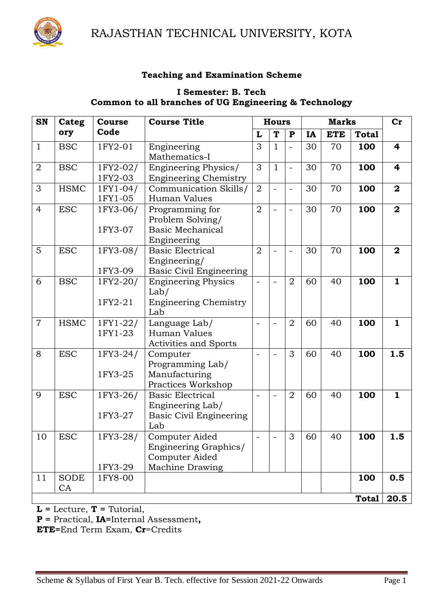

RAJASTHAN TECHNICAL UNIVERSITY, KOTA

#### **Teaching and Examination Scheme**

#### **I Semester: B. Tech Common to all branches of UG Engineering & Technology**

| SN             | Categ             | <b>Course</b>       | <b>Course Title</b>                                                           | <b>Hours</b>                 |                          |                          |    | <b>Marks</b> |              | $\mathbf{C}\mathbf{r}$  |
|----------------|-------------------|---------------------|-------------------------------------------------------------------------------|------------------------------|--------------------------|--------------------------|----|--------------|--------------|-------------------------|
|                | ory               | Code                |                                                                               | L                            | T                        | ${\bf P}$                | IA | <b>ETE</b>   | <b>Total</b> |                         |
| $\mathbf{1}$   | <b>BSC</b>        | 1FY2-01             | Engineering<br>Mathematics-I                                                  | 3                            | $\mathbf{1}$             |                          | 30 | 70           | 100          | 4                       |
| $\overline{2}$ | <b>BSC</b>        | 1FY2-02/<br>1FY2-03 | Engineering Physics/<br><b>Engineering Chemistry</b>                          | 3                            | $\mathbf{1}$             |                          | 30 | 70           | 100          | $\overline{\mathbf{4}}$ |
| 3              | <b>HSMC</b>       | 1FY1-04/<br>1FY1-05 | Communication Skills/<br>Human Values                                         | $\overline{2}$               | $\blacksquare$           | $\overline{\phantom{0}}$ | 30 | 70           | 100          | $\mathbf{2}$            |
| $\overline{4}$ | <b>ESC</b>        | 1FY3-06/<br>1FY3-07 | Programming for<br>Problem Solving/<br><b>Basic Mechanical</b><br>Engineering | $\overline{2}$               | $\overline{a}$           | $\overline{\phantom{0}}$ | 30 | 70           | 100          | $\overline{\mathbf{2}}$ |
| 5              | <b>ESC</b>        | 1FY3-08/<br>1FY3-09 | <b>Basic Electrical</b><br>Engineering/<br><b>Basic Civil Engineering</b>     | $\overline{2}$               | $\blacksquare$           |                          | 30 | 70           | 100          | $\mathbf{2}$            |
| 6              | <b>BSC</b>        | 1FY2-20/<br>1FY2-21 | <b>Engineering Physics</b><br>Lab/<br><b>Engineering Chemistry</b><br>Lab     | $\qquad \qquad$              |                          | $\overline{2}$           | 60 | 40           | 100          | $\mathbf{1}$            |
| $\overline{7}$ | <b>HSMC</b>       | 1FY1-22/<br>1FY1-23 | Language Lab/<br>Human Values<br><b>Activities and Sports</b>                 | $\blacksquare$               |                          | $\overline{2}$           | 60 | 40           | 100          | $\mathbf{1}$            |
| 8              | <b>ESC</b>        | 1FY3-24/<br>1FY3-25 | Computer<br>Programming Lab/<br>Manufacturing<br>Practices Workshop           | $\qquad \qquad$              | $\blacksquare$           | 3                        | 60 | 40           | 100          | 1.5                     |
| 9              | <b>ESC</b>        | 1FY3-26/<br>1FY3-27 | <b>Basic Electrical</b><br>Engineering Lab/<br>Basic Civil Engineering<br>Lab | $\overline{\phantom{a}}$     | $\overline{\phantom{0}}$ | $\overline{2}$           | 60 | 40           | 100          | $\mathbf{1}$            |
| 10             | <b>ESC</b>        | 1FY3-28/<br>1FY3-29 | Computer Aided<br>Engineering Graphics/<br>Computer Aided<br>Machine Drawing  | $\qquad \qquad \blacksquare$ | $\blacksquare$           | 3                        | 60 | 40           | 100          | 1.5                     |
| 11             | <b>SODE</b><br>CA | 1FY8-00             |                                                                               |                              |                          |                          |    |              | 100          | 0.5                     |
|                |                   |                     |                                                                               |                              |                          |                          |    |              | Total        | 20.5                    |

**L =** Lecture, **T =** Tutorial,

**P =** Practical, **IA=**Internal Assessment**,** 

**ETE=**End Term Exam, **Cr**=Credits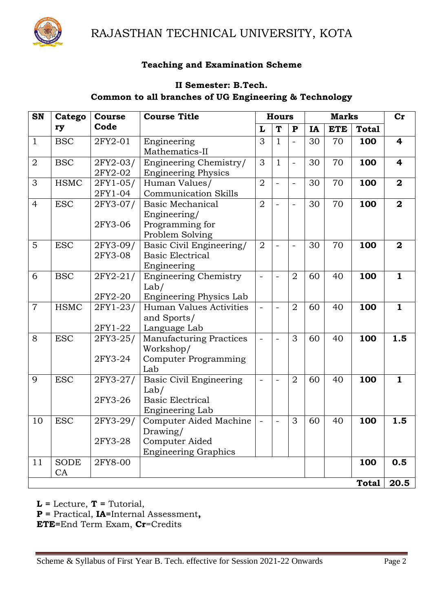

RAJASTHAN TECHNICAL UNIVERSITY, KOTA

#### **Teaching and Examination Scheme**

## **II Semester: B.Tech. Common to all branches of UG Engineering & Technology**

| <b>SN</b>      | Catego      | <b>Course</b> | <b>Course Title</b>            | <b>Hours</b>   |                         | <b>Marks</b>         |           |            | Cr           |                         |
|----------------|-------------|---------------|--------------------------------|----------------|-------------------------|----------------------|-----------|------------|--------------|-------------------------|
|                | ry          | Code          |                                | L              | $\overline{\mathbf{T}}$ | ${\bf P}$            | <b>IA</b> | <b>ETE</b> | <b>Total</b> |                         |
| $\mathbf{1}$   | <b>BSC</b>  | 2FY2-01       | Engineering                    | 3              | $\mathbf{1}$            | $\overline{a}$       | 30        | 70         | 100          | $\overline{\mathbf{r}}$ |
|                |             |               | Mathematics-II                 |                |                         |                      |           |            |              |                         |
| $\overline{2}$ | <b>BSC</b>  | 2FY2-03/      | Engineering Chemistry/         | 3              | $\mathbf{1}$            | $\ddot{\phantom{a}}$ | 30        | 70         | 100          | 4                       |
|                |             | 2FY2-02       | <b>Engineering Physics</b>     |                |                         |                      |           |            |              |                         |
| 3              | <b>HSMC</b> | 2FY1-05/      | Human Values/                  | $\overline{2}$ | $\overline{a}$          | $\overline{a}$       | 30        | 70         | 100          | $\overline{\mathbf{2}}$ |
|                |             | 2FY1-04       | <b>Communication Skills</b>    |                |                         |                      |           |            |              |                         |
| $\overline{4}$ | <b>ESC</b>  | 2FY3-07/      | <b>Basic Mechanical</b>        | $\overline{2}$ | $\overline{a}$          | $\equiv$             | 30        | 70         | 100          | $\overline{2}$          |
|                |             |               | Engineering/                   |                |                         |                      |           |            |              |                         |
|                |             | 2FY3-06       | Programming for                |                |                         |                      |           |            |              |                         |
|                |             |               | Problem Solving                |                |                         |                      |           |            |              |                         |
| $\overline{5}$ | <b>ESC</b>  | 2FY3-09/      | Basic Civil Engineering/       | $\overline{2}$ |                         |                      | 30        | 70         | 100          | $\mathbf{2}$            |
|                |             | 2FY3-08       | <b>Basic Electrical</b>        |                |                         |                      |           |            |              |                         |
|                |             |               | Engineering                    |                |                         |                      |           |            |              |                         |
| 6              | <b>BSC</b>  | 2FY2-21/      | <b>Engineering Chemistry</b>   | $\overline{a}$ | L,                      | $\overline{2}$       | 60        | 40         | 100          | $\mathbf{1}$            |
|                |             |               | Lab/                           |                |                         |                      |           |            |              |                         |
|                |             | 2FY2-20       | Engineering Physics Lab        |                |                         |                      |           |            |              |                         |
| $\overline{7}$ | <b>HSMC</b> | 2FY1-23/      | Human Values Activities        | $\overline{a}$ | $\overline{a}$          | $\overline{2}$       | 60        | 40         | 100          | $\mathbf{1}$            |
|                |             |               | and Sports/                    |                |                         |                      |           |            |              |                         |
|                |             | 2FY1-22       | Language Lab                   |                |                         |                      |           |            |              |                         |
| 8              | <b>ESC</b>  | 2FY3-25/      | <b>Manufacturing Practices</b> | ÷,             | L,                      | 3                    | 60        | 40         | 100          | 1.5                     |
|                |             |               | Workshop/                      |                |                         |                      |           |            |              |                         |
|                |             | 2FY3-24       | Computer Programming           |                |                         |                      |           |            |              |                         |
|                |             |               | Lab                            |                |                         |                      |           |            |              |                         |
| 9              | <b>ESC</b>  | 2FY3-27/      | <b>Basic Civil Engineering</b> | $\equiv$       | $\equiv$                | $\overline{2}$       | 60        | 40         | 100          | $\mathbf{1}$            |
|                |             |               | Lab/                           |                |                         |                      |           |            |              |                         |
|                |             | 2FY3-26       | <b>Basic Electrical</b>        |                |                         |                      |           |            |              |                         |
|                |             |               | Engineering Lab                |                |                         |                      |           |            |              |                         |
| 10             | <b>ESC</b>  | 2FY3-29/      | Computer Aided Machine         |                |                         | 3                    | 60        | 40         | 100          | 1.5                     |
|                |             |               | Drawing/                       |                |                         |                      |           |            |              |                         |
|                |             | 2FY3-28       | Computer Aided                 |                |                         |                      |           |            |              |                         |
|                |             |               | <b>Engineering Graphics</b>    |                |                         |                      |           |            |              |                         |
| 11             | <b>SODE</b> | 2FY8-00       |                                |                |                         |                      |           |            | 100          | 0.5                     |
|                | CA          |               |                                |                |                         |                      |           |            |              |                         |
|                |             |               |                                |                |                         |                      |           |            | <b>Total</b> | 20.5                    |

 $L =$  Lecture,  $T =$  Tutorial,

**P =** Practical, **IA=**Internal Assessment**,** 

**ETE=**End Term Exam, **Cr**=Credits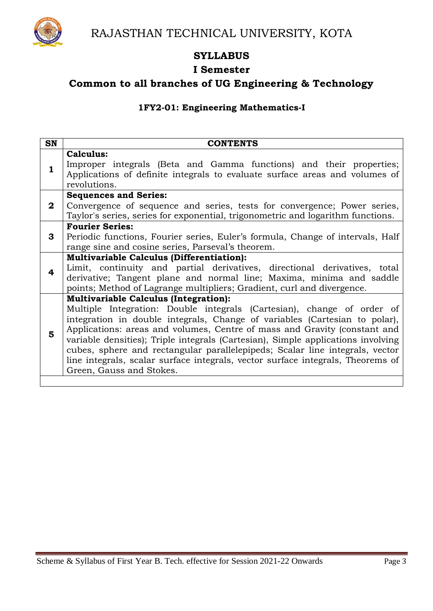

## **SYLLABUS**

### **I Semester**

## **Common to all branches of UG Engineering & Technology**

#### **1FY2-01: Engineering Mathematics-I**

| <b>SN</b>    | <b>CONTENTS</b>                                                                                                                                                                                                                                                                                                                                                                                                                                                                                                                                                      |
|--------------|----------------------------------------------------------------------------------------------------------------------------------------------------------------------------------------------------------------------------------------------------------------------------------------------------------------------------------------------------------------------------------------------------------------------------------------------------------------------------------------------------------------------------------------------------------------------|
| $\mathbf{1}$ | Calculus:<br>Improper integrals (Beta and Gamma functions) and their properties;<br>Applications of definite integrals to evaluate surface areas and volumes of<br>revolutions.                                                                                                                                                                                                                                                                                                                                                                                      |
| $\mathbf{2}$ | <b>Sequences and Series:</b><br>Convergence of sequence and series, tests for convergence; Power series,<br>Taylor's series, series for exponential, trigonometric and logarithm functions.                                                                                                                                                                                                                                                                                                                                                                          |
| 3            | <b>Fourier Series:</b><br>Periodic functions, Fourier series, Euler's formula, Change of intervals, Half<br>range sine and cosine series, Parseval's theorem.                                                                                                                                                                                                                                                                                                                                                                                                        |
| 4            | <b>Multivariable Calculus (Differentiation):</b><br>Limit, continuity and partial derivatives, directional derivatives, total<br>derivative; Tangent plane and normal line; Maxima, minima and saddle<br>points; Method of Lagrange multipliers; Gradient, curl and divergence.                                                                                                                                                                                                                                                                                      |
| 5            | <b>Multivariable Calculus (Integration):</b><br>Multiple Integration: Double integrals (Cartesian), change of order of<br>integration in double integrals, Change of variables (Cartesian to polar),<br>Applications: areas and volumes, Centre of mass and Gravity (constant and<br>variable densities); Triple integrals (Cartesian), Simple applications involving<br>cubes, sphere and rectangular parallelepipeds; Scalar line integrals, vector<br>line integrals, scalar surface integrals, vector surface integrals, Theorems of<br>Green, Gauss and Stokes. |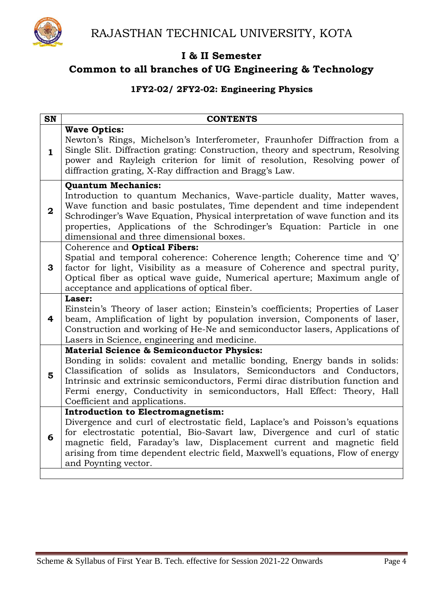

## **Common to all branches of UG Engineering & Technology**

### **1FY2-02/ 2FY2-02: Engineering Physics**

| <b>SN</b>    | <b>CONTENTS</b>                                                                                                                                                                                                                                                                                                                                                                                          |
|--------------|----------------------------------------------------------------------------------------------------------------------------------------------------------------------------------------------------------------------------------------------------------------------------------------------------------------------------------------------------------------------------------------------------------|
| $\mathbf{1}$ | <b>Wave Optics:</b><br>Newton's Rings, Michelson's Interferometer, Fraunhofer Diffraction from a<br>Single Slit. Diffraction grating: Construction, theory and spectrum, Resolving<br>power and Rayleigh criterion for limit of resolution, Resolving power of<br>diffraction grating, X-Ray diffraction and Bragg's Law.                                                                                |
| $\bf{2}$     | <b>Quantum Mechanics:</b><br>Introduction to quantum Mechanics, Wave-particle duality, Matter waves,<br>Wave function and basic postulates, Time dependent and time independent<br>Schrodinger's Wave Equation, Physical interpretation of wave function and its<br>properties, Applications of the Schrodinger's Equation: Particle in one<br>dimensional and three dimensional boxes.                  |
| 3            | Coherence and Optical Fibers:<br>Spatial and temporal coherence: Coherence length; Coherence time and 'Q'<br>factor for light, Visibility as a measure of Coherence and spectral purity,<br>Optical fiber as optical wave guide, Numerical aperture; Maximum angle of<br>acceptance and applications of optical fiber.                                                                                   |
| 4            | Laser:<br>Einstein's Theory of laser action; Einstein's coefficients; Properties of Laser<br>beam, Amplification of light by population inversion, Components of laser,<br>Construction and working of He-Ne and semiconductor lasers, Applications of<br>Lasers in Science, engineering and medicine.                                                                                                   |
| 5            | <b>Material Science &amp; Semiconductor Physics:</b><br>Bonding in solids: covalent and metallic bonding, Energy bands in solids:<br>Classification of solids as Insulators, Semiconductors and Conductors,<br>Intrinsic and extrinsic semiconductors, Fermi dirac distribution function and<br>Fermi energy, Conductivity in semiconductors, Hall Effect: Theory, Hall<br>Coefficient and applications. |
| 6            | <b>Introduction to Electromagnetism:</b><br>Divergence and curl of electrostatic field, Laplace's and Poisson's equations<br>for electrostatic potential, Bio-Savart law, Divergence and curl of static<br>magnetic field, Faraday's law, Displacement current and magnetic field<br>arising from time dependent electric field, Maxwell's equations, Flow of energy<br>and Poynting vector.             |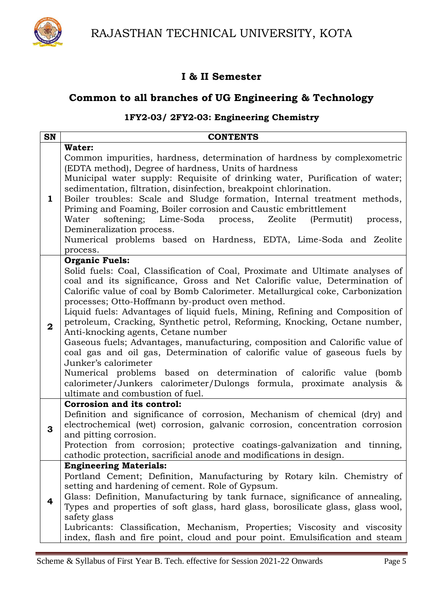



## **Common to all branches of UG Engineering & Technology**

## **1FY2-03/ 2FY2-03: Engineering Chemistry**

| <b>SN</b>               | <b>CONTENTS</b>                                                                                                                                                                                                                                                                                                                                                                                                                                                                                                                                                                                                                                                                                                                                                                                                                                                                                           |
|-------------------------|-----------------------------------------------------------------------------------------------------------------------------------------------------------------------------------------------------------------------------------------------------------------------------------------------------------------------------------------------------------------------------------------------------------------------------------------------------------------------------------------------------------------------------------------------------------------------------------------------------------------------------------------------------------------------------------------------------------------------------------------------------------------------------------------------------------------------------------------------------------------------------------------------------------|
| 1                       | Water:<br>Common impurities, hardness, determination of hardness by complexometric<br>(EDTA method), Degree of hardness, Units of hardness<br>Municipal water supply: Requisite of drinking water, Purification of water;<br>sedimentation, filtration, disinfection, breakpoint chlorination.<br>Boiler troubles: Scale and Sludge formation, Internal treatment methods,<br>Priming and Foaming, Boiler corrosion and Caustic embrittlement                                                                                                                                                                                                                                                                                                                                                                                                                                                             |
|                         | softening; Lime-Soda process, Zeolite<br>Water<br>(Permutit)<br>process,<br>Demineralization process.<br>Numerical problems based on Hardness, EDTA, Lime-Soda and Zeolite<br>process.                                                                                                                                                                                                                                                                                                                                                                                                                                                                                                                                                                                                                                                                                                                    |
| $\overline{\mathbf{2}}$ | <b>Organic Fuels:</b><br>Solid fuels: Coal, Classification of Coal, Proximate and Ultimate analyses of<br>coal and its significance, Gross and Net Calorific value, Determination of<br>Calorific value of coal by Bomb Calorimeter. Metallurgical coke, Carbonization<br>processes; Otto-Hoffmann by-product oven method.<br>Liquid fuels: Advantages of liquid fuels, Mining, Refining and Composition of<br>petroleum, Cracking, Synthetic petrol, Reforming, Knocking, Octane number,<br>Anti-knocking agents, Cetane number<br>Gaseous fuels; Advantages, manufacturing, composition and Calorific value of<br>coal gas and oil gas, Determination of calorific value of gaseous fuels by<br>Junker's calorimeter<br>Numerical problems based on determination of calorific value (bomb<br>calorimeter/Junkers calorimeter/Dulongs formula, proximate analysis &<br>ultimate and combustion of fuel. |
| 3                       | Corrosion and its control:<br>Definition and significance of corrosion, Mechanism of chemical (dry) and<br>electrochemical (wet) corrosion, galvanic corrosion, concentration corrosion<br>and pitting corrosion.<br>Protection from corrosion; protective coatings-galvanization and tinning,<br>cathodic protection, sacrificial anode and modifications in design                                                                                                                                                                                                                                                                                                                                                                                                                                                                                                                                      |
| 4                       | <b>Engineering Materials:</b><br>Portland Cement; Definition, Manufacturing by Rotary kiln. Chemistry of<br>setting and hardening of cement. Role of Gypsum.<br>Glass: Definition, Manufacturing by tank furnace, significance of annealing,<br>Types and properties of soft glass, hard glass, borosilicate glass, glass wool,<br>safety glass<br>Lubricants: Classification, Mechanism, Properties; Viscosity and viscosity<br>index, flash and fire point, cloud and pour point. Emulsification and steam                                                                                                                                                                                                                                                                                                                                                                                              |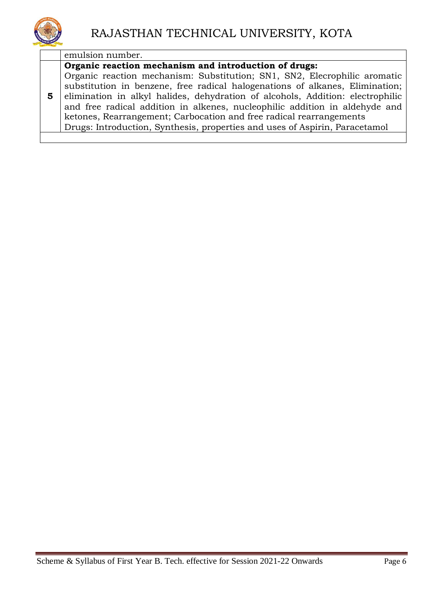

emulsion number.

## **Organic reaction mechanism and introduction of drugs:**

**5** Organic reaction mechanism: Substitution; SN1, SN2, Elecrophilic aromatic substitution in benzene, free radical halogenations of alkanes, Elimination; elimination in alkyl halides, dehydration of alcohols, Addition: electrophilic and free radical addition in alkenes, nucleophilic addition in aldehyde and ketones, Rearrangement; Carbocation and free radical rearrangements Drugs: Introduction, Synthesis, properties and uses of Aspirin, Paracetamol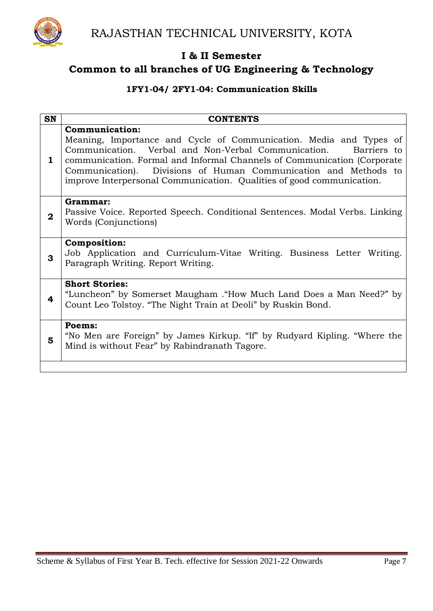

## **1FY1-04/ 2FY1-04: Communication Skills**

| <b>SN</b>    | <b>CONTENTS</b>                                                                                                                                                                                                                                                                                                                                                                       |
|--------------|---------------------------------------------------------------------------------------------------------------------------------------------------------------------------------------------------------------------------------------------------------------------------------------------------------------------------------------------------------------------------------------|
| 1            | <b>Communication:</b><br>Meaning, Importance and Cycle of Communication. Media and Types of<br>Communication. Verbal and Non-Verbal Communication. Barriers to<br>communication. Formal and Informal Channels of Communication (Corporate<br>Communication). Divisions of Human Communication and Methods to<br>improve Interpersonal Communication. Qualities of good communication. |
| $\mathbf{2}$ | Grammar:<br>Passive Voice. Reported Speech. Conditional Sentences. Modal Verbs. Linking<br>Words (Conjunctions)                                                                                                                                                                                                                                                                       |
| 3            | <b>Composition:</b><br>Job Application and Curriculum-Vitae Writing. Business Letter Writing.<br>Paragraph Writing. Report Writing.                                                                                                                                                                                                                                                   |
| 4            | <b>Short Stories:</b><br>"Luncheon" by Somerset Maugham . "How Much Land Does a Man Need?" by<br>Count Leo Tolstoy. "The Night Train at Deoli" by Ruskin Bond.                                                                                                                                                                                                                        |
| 5            | Poems:<br>"No Men are Foreign" by James Kirkup. "If" by Rudyard Kipling. "Where the<br>Mind is without Fear" by Rabindranath Tagore.                                                                                                                                                                                                                                                  |
|              |                                                                                                                                                                                                                                                                                                                                                                                       |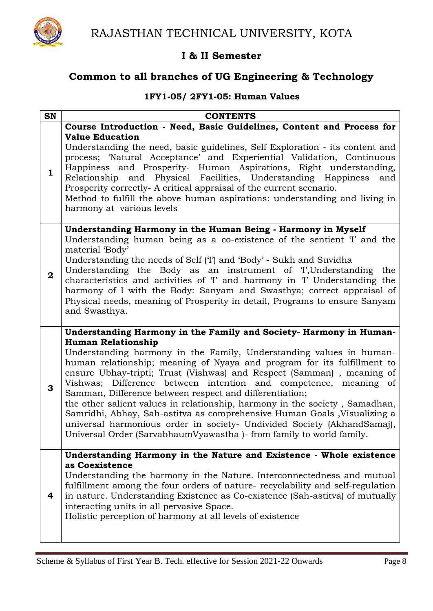

## **Common to all branches of UG Engineering & Technology**

## **1FY1-05/ 2FY1-05: Human Values**

| SN                      | <b>CONTENTS</b>                                                                                                                                                                                                                                                                                                                                                                                                                                                                                                                                                                                                                                                                                                                                                          |
|-------------------------|--------------------------------------------------------------------------------------------------------------------------------------------------------------------------------------------------------------------------------------------------------------------------------------------------------------------------------------------------------------------------------------------------------------------------------------------------------------------------------------------------------------------------------------------------------------------------------------------------------------------------------------------------------------------------------------------------------------------------------------------------------------------------|
|                         | Course Introduction - Need, Basic Guidelines, Content and Process for                                                                                                                                                                                                                                                                                                                                                                                                                                                                                                                                                                                                                                                                                                    |
| $\mathbf{1}$            | <b>Value Education</b><br>Understanding the need, basic guidelines, Self Exploration - its content and<br>process; 'Natural Acceptance' and Experiential Validation, Continuous<br>Happiness and Prosperity- Human Aspirations, Right understanding,<br>Relationship and Physical Facilities, Understanding Happiness<br>and<br>Prosperity correctly- A critical appraisal of the current scenario.<br>Method to fulfill the above human aspirations: understanding and living in<br>harmony at various levels                                                                                                                                                                                                                                                           |
| $\overline{\mathbf{2}}$ | Understanding Harmony in the Human Being - Harmony in Myself<br>Understanding human being as a co-existence of the sentient 'I' and the<br>material 'Body'<br>Understanding the needs of Self (T) and 'Body' - Sukh and Suvidha<br>Understanding the Body as an instrument of T, Understanding the<br>characteristics and activities of 'I' and harmony in 'I' Understanding the<br>harmony of I with the Body: Sanyam and Swasthya; correct appraisal of<br>Physical needs, meaning of Prosperity in detail, Programs to ensure Sanyam<br>and Swasthya.                                                                                                                                                                                                                 |
| 3                       | Understanding Harmony in the Family and Society- Harmony in Human-<br><b>Human Relationship</b><br>Understanding harmony in the Family, Understanding values in human-<br>human relationship; meaning of Nyaya and program for its fulfillment to<br>ensure Ubhay-tripti; Trust (Vishwas) and Respect (Samman), meaning of<br>Vishwas; Difference between intention and competence, meaning of<br>Samman, Difference between respect and differentiation;<br>the other salient values in relationship, harmony in the society, Samadhan,<br>Samridhi, Abhay, Sah-astitva as comprehensive Human Goals , Visualizing a<br>universal harmonious order in society- Undivided Society (AkhandSamaj),<br>Universal Order (SarvabhaumVyawastha) - from family to world family. |
| 4                       | Understanding Harmony in the Nature and Existence - Whole existence<br>as Coexistence<br>Understanding the harmony in the Nature. Interconnectedness and mutual<br>fulfillment among the four orders of nature- recyclability and self-regulation<br>in nature. Understanding Existence as Co-existence (Sah-astitva) of mutually<br>interacting units in all pervasive Space.<br>Holistic perception of harmony at all levels of existence                                                                                                                                                                                                                                                                                                                              |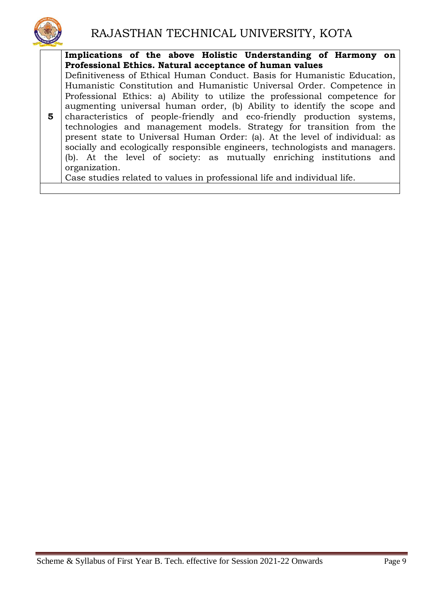

**5 Implications of the above Holistic Understanding of Harmony on Professional Ethics. Natural acceptance of human values** Definitiveness of Ethical Human Conduct. Basis for Humanistic Education, Humanistic Constitution and Humanistic Universal Order. Competence in Professional Ethics: a) Ability to utilize the professional competence for augmenting universal human order, (b) Ability to identify the scope and characteristics of people-friendly and eco-friendly production systems, technologies and management models. Strategy for transition from the present state to Universal Human Order: (a). At the level of individual: as socially and ecologically responsible engineers, technologists and managers. (b). At the level of society: as mutually enriching institutions and organization. Case studies related to values in professional life and individual life.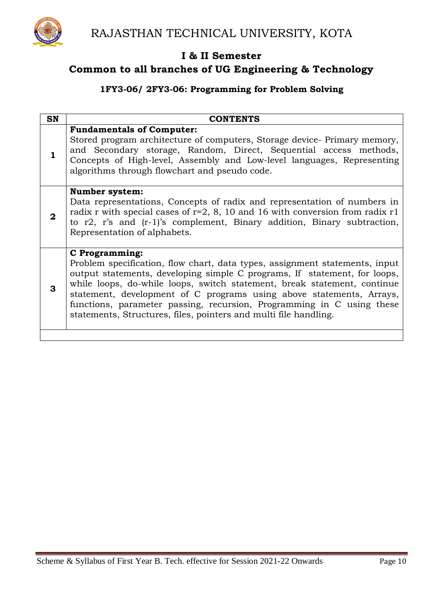

## **Common to all branches of UG Engineering & Technology**

### **1FY3-06/ 2FY3-06: Programming for Problem Solving**

| <b>SN</b> | <b>CONTENTS</b>                                                                                                                                                                                                                                                                                                                                                                                                                                                                    |
|-----------|------------------------------------------------------------------------------------------------------------------------------------------------------------------------------------------------------------------------------------------------------------------------------------------------------------------------------------------------------------------------------------------------------------------------------------------------------------------------------------|
| 1         | <b>Fundamentals of Computer:</b><br>Stored program architecture of computers, Storage device- Primary memory,<br>and Secondary storage, Random, Direct, Sequential access methods,<br>Concepts of High-level, Assembly and Low-level languages, Representing<br>algorithms through flowchart and pseudo code.                                                                                                                                                                      |
| 2         | <b>Number system:</b><br>Data representations, Concepts of radix and representation of numbers in<br>radix r with special cases of $r=2$ , 8, 10 and 16 with conversion from radix r1<br>to $r2$ , $r$ 's and $(r-1)$ 's complement, Binary addition, Binary subtraction,<br>Representation of alphabets.                                                                                                                                                                          |
| 3         | <b>C</b> Programming:<br>Problem specification, flow chart, data types, assignment statements, input<br>output statements, developing simple C programs, If statement, for loops,<br>while loops, do-while loops, switch statement, break statement, continue<br>statement, development of C programs using above statements, Arrays,<br>functions, parameter passing, recursion, Programming in C using these<br>statements, Structures, files, pointers and multi file handling. |
|           |                                                                                                                                                                                                                                                                                                                                                                                                                                                                                    |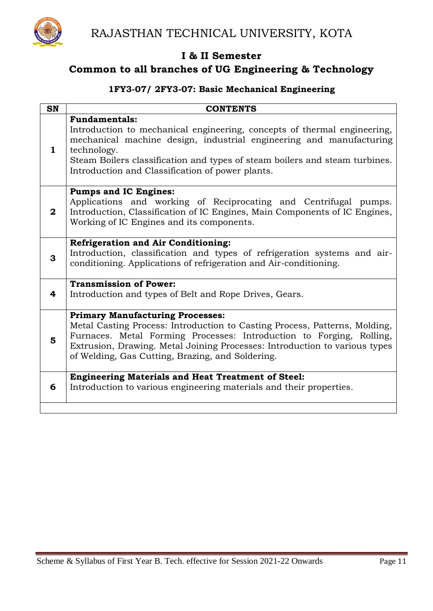

## **Common to all branches of UG Engineering & Technology**

## **1FY3-07/ 2FY3-07: Basic Mechanical Engineering**

| <b>SN</b>    | <b>CONTENTS</b>                                                                                                                                                                                                                                                                                                                 |
|--------------|---------------------------------------------------------------------------------------------------------------------------------------------------------------------------------------------------------------------------------------------------------------------------------------------------------------------------------|
| 1.           | <b>Fundamentals:</b><br>Introduction to mechanical engineering, concepts of thermal engineering,<br>mechanical machine design, industrial engineering and manufacturing<br>technology.<br>Steam Boilers classification and types of steam boilers and steam turbines.<br>Introduction and Classification of power plants.       |
| $\mathbf{2}$ | <b>Pumps and IC Engines:</b><br>Applications and working of Reciprocating and Centrifugal pumps.<br>Introduction, Classification of IC Engines, Main Components of IC Engines,<br>Working of IC Engines and its components.                                                                                                     |
| 3            | <b>Refrigeration and Air Conditioning:</b><br>Introduction, classification and types of refrigeration systems and air-<br>conditioning. Applications of refrigeration and Air-conditioning.                                                                                                                                     |
| 4            | <b>Transmission of Power:</b><br>Introduction and types of Belt and Rope Drives, Gears.                                                                                                                                                                                                                                         |
| 5            | <b>Primary Manufacturing Processes:</b><br>Metal Casting Process: Introduction to Casting Process, Patterns, Molding,<br>Furnaces. Metal Forming Processes: Introduction to Forging, Rolling,<br>Extrusion, Drawing. Metal Joining Processes: Introduction to various types<br>of Welding, Gas Cutting, Brazing, and Soldering. |
| 6            | <b>Engineering Materials and Heat Treatment of Steel:</b><br>Introduction to various engineering materials and their properties.                                                                                                                                                                                                |
|              |                                                                                                                                                                                                                                                                                                                                 |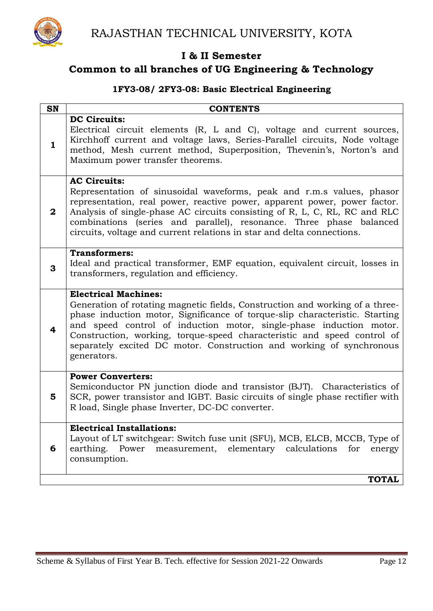

## **Common to all branches of UG Engineering & Technology**

### **1FY3-08/ 2FY3-08: Basic Electrical Engineering**

| SN           | <b>CONTENTS</b>                                                                                                                                                                                                                                                                                                                                                                                                                     |
|--------------|-------------------------------------------------------------------------------------------------------------------------------------------------------------------------------------------------------------------------------------------------------------------------------------------------------------------------------------------------------------------------------------------------------------------------------------|
| $\mathbf{1}$ | <b>DC Circuits:</b><br>Electrical circuit elements (R, L and C), voltage and current sources,<br>Kirchhoff current and voltage laws, Series-Parallel circuits, Node voltage<br>method, Mesh current method, Superposition, Thevenin's, Norton's and<br>Maximum power transfer theorems.                                                                                                                                             |
| $\bf{2}$     | <b>AC Circuits:</b><br>Representation of sinusoidal waveforms, peak and r.m.s values, phasor<br>representation, real power, reactive power, apparent power, power factor.<br>Analysis of single-phase AC circuits consisting of R, L, C, RL, RC and RLC<br>combinations (series and parallel), resonance. Three phase balanced<br>circuits, voltage and current relations in star and delta connections.                            |
| 3            | <b>Transformers:</b><br>Ideal and practical transformer, EMF equation, equivalent circuit, losses in<br>transformers, regulation and efficiency.                                                                                                                                                                                                                                                                                    |
| 4            | <b>Electrical Machines:</b><br>Generation of rotating magnetic fields, Construction and working of a three-<br>phase induction motor, Significance of torque-slip characteristic. Starting<br>and speed control of induction motor, single-phase induction motor.<br>Construction, working, torque-speed characteristic and speed control of<br>separately excited DC motor. Construction and working of synchronous<br>generators. |
| 5            | <b>Power Converters:</b><br>Semiconductor PN junction diode and transistor (BJT). Characteristics of<br>SCR, power transistor and IGBT. Basic circuits of single phase rectifier with<br>R load, Single phase Inverter, DC-DC converter.                                                                                                                                                                                            |
| 6            | <b>Electrical Installations:</b><br>Layout of LT switchgear: Switch fuse unit (SFU), MCB, ELCB, MCCB, Type of<br>earthing. Power<br>measurement, elementary calculations<br>for<br>energy<br>consumption.                                                                                                                                                                                                                           |
|              | <b>TOTAL</b>                                                                                                                                                                                                                                                                                                                                                                                                                        |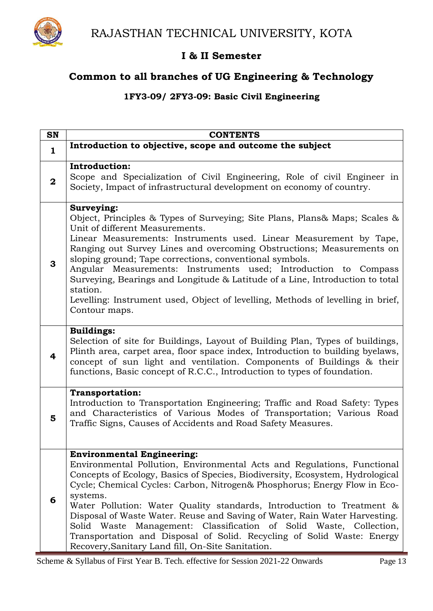

## **Common to all branches of UG Engineering & Technology**

## **1FY3-09/ 2FY3-09: Basic Civil Engineering**

| <b>SN</b>               | <b>CONTENTS</b>                                                                                                                                                                                                                                                                                                                                                                                                                                                                                                                                                                                                                                       |
|-------------------------|-------------------------------------------------------------------------------------------------------------------------------------------------------------------------------------------------------------------------------------------------------------------------------------------------------------------------------------------------------------------------------------------------------------------------------------------------------------------------------------------------------------------------------------------------------------------------------------------------------------------------------------------------------|
| $\mathbf{1}$            | Introduction to objective, scope and outcome the subject                                                                                                                                                                                                                                                                                                                                                                                                                                                                                                                                                                                              |
| $\overline{\mathbf{2}}$ | <b>Introduction:</b><br>Scope and Specialization of Civil Engineering, Role of civil Engineer in<br>Society, Impact of infrastructural development on economy of country.                                                                                                                                                                                                                                                                                                                                                                                                                                                                             |
| 3                       | Surveying:<br>Object, Principles & Types of Surveying; Site Plans, Plans& Maps; Scales &<br>Unit of different Measurements.<br>Linear Measurements: Instruments used. Linear Measurement by Tape,<br>Ranging out Survey Lines and overcoming Obstructions; Measurements on<br>sloping ground; Tape corrections, conventional symbols.<br>Angular Measurements: Instruments used; Introduction to Compass<br>Surveying, Bearings and Longitude & Latitude of a Line, Introduction to total<br>station.<br>Levelling: Instrument used, Object of levelling, Methods of levelling in brief,<br>Contour maps.                                             |
| 4                       | <b>Buildings:</b><br>Selection of site for Buildings, Layout of Building Plan, Types of buildings,<br>Plinth area, carpet area, floor space index, Introduction to building byelaws,<br>concept of sun light and ventilation. Components of Buildings & their<br>functions, Basic concept of R.C.C., Introduction to types of foundation.                                                                                                                                                                                                                                                                                                             |
| 5                       | <b>Transportation:</b><br>Introduction to Transportation Engineering; Traffic and Road Safety: Types<br>and Characteristics of Various Modes of Transportation; Various Road<br>Traffic Signs, Causes of Accidents and Road Safety Measures.                                                                                                                                                                                                                                                                                                                                                                                                          |
| 6                       | <b>Environmental Engineering:</b><br>Environmental Pollution, Environmental Acts and Regulations, Functional<br>Concepts of Ecology, Basics of Species, Biodiversity, Ecosystem, Hydrological<br>Cycle; Chemical Cycles: Carbon, Nitrogen& Phosphorus; Energy Flow in Eco-<br>systems.<br>Water Pollution: Water Quality standards, Introduction to Treatment &<br>Disposal of Waste Water. Reuse and Saving of Water, Rain Water Harvesting.<br>Management: Classification of Solid Waste, Collection,<br>Solid Waste<br>Transportation and Disposal of Solid. Recycling of Solid Waste: Energy<br>Recovery, Sanitary Land fill, On-Site Sanitation. |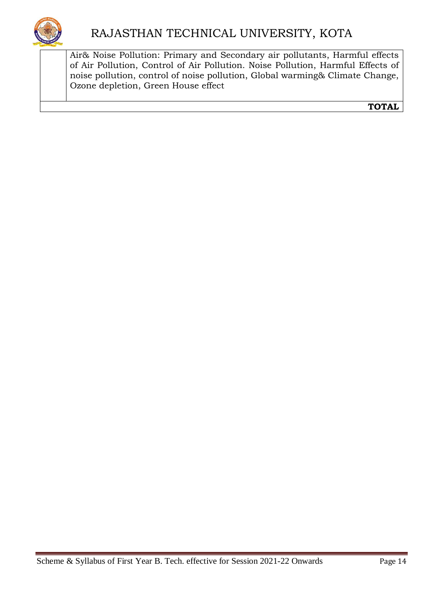Air& Noise Pollution: Primary and Secondary air pollutants, Harmful effects of Air Pollution, Control of Air Pollution. Noise Pollution, Harmful Effects of noise pollution, control of noise pollution, Global warming& Climate Change, Ozone depletion, Green House effect

**TOTAL**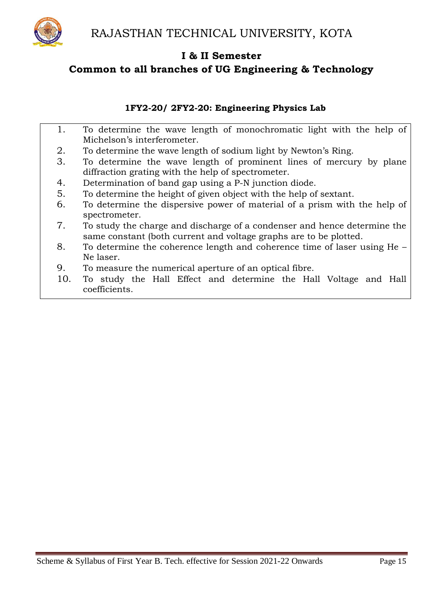

## **1FY2-20/ 2FY2-20: Engineering Physics Lab**

- 1. To determine the wave length of monochromatic light with the help of Michelson's interferometer.
- 2. To determine the wave length of sodium light by Newton's Ring.
- 3. To determine the wave length of prominent lines of mercury by plane diffraction grating with the help of spectrometer.
- 4. Determination of band gap using a P-N junction diode.
- 5. To determine the height of given object with the help of sextant.
- 6. To determine the dispersive power of material of a prism with the help of spectrometer.
- 7. To study the charge and discharge of a condenser and hence determine the same constant (both current and voltage graphs are to be plotted.
- 8. To determine the coherence length and coherence time of laser using He Ne laser.
- 9. To measure the numerical aperture of an optical fibre.
- 10. To study the Hall Effect and determine the Hall Voltage and Hall coefficients.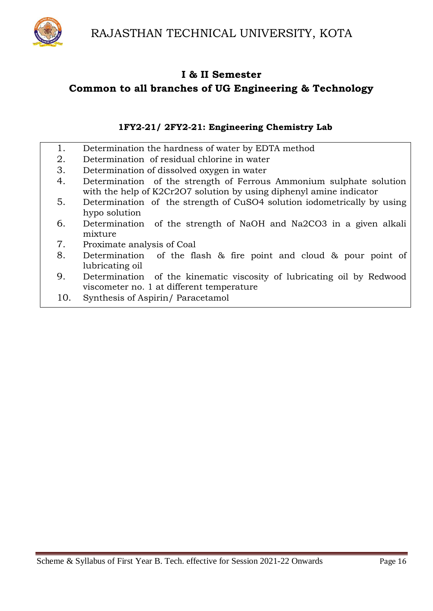

### **1FY2-21/ 2FY2-21: Engineering Chemistry Lab**

- 1. Determination the hardness of water by EDTA method
- 2. Determination of residual chlorine in water
- 3. Determination of dissolved oxygen in water
- 4. Determination of the strength of Ferrous Ammonium sulphate solution with the help of K2Cr2O7 solution by using diphenyl amine indicator
- 5. Determination of the strength of CuSO4 solution iodometrically by using hypo solution
- 6. Determination of the strength of NaOH and Na2CO3 in a given alkali mixture
- 7. Proximate analysis of Coal
- 8. Determination of the flash & fire point and cloud & pour point of lubricating oil
- 9. Determination of the kinematic viscosity of lubricating oil by Redwood viscometer no. 1 at different temperature
- 10. Synthesis of Aspirin/ Paracetamol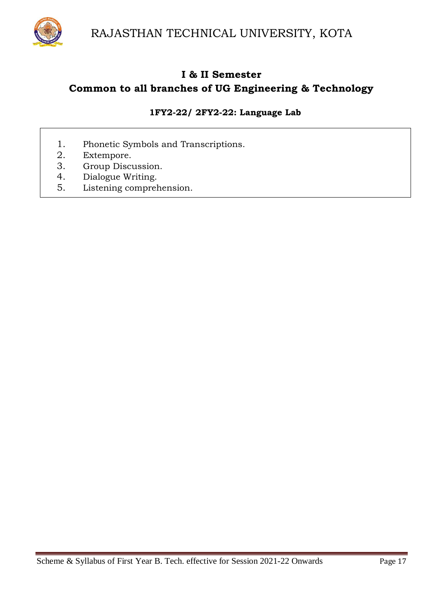

## **1FY2-22/ 2FY2-22: Language Lab**

- 1. Phonetic Symbols and Transcriptions.
- 2. Extempore.
- 3. Group Discussion.
- 4. Dialogue Writing.
- 5. Listening comprehension.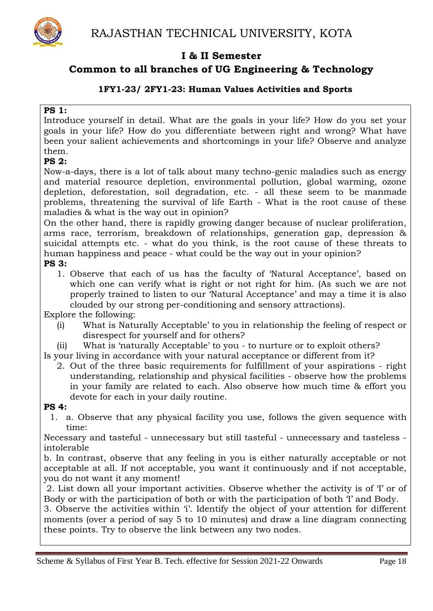

## **Common to all branches of UG Engineering & Technology**

#### **1FY1-23/ 2FY1-23: Human Values Activities and Sports**

#### **PS 1:**

Introduce yourself in detail. What are the goals in your life? How do you set your goals in your life? How do you differentiate between right and wrong? What have been your salient achievements and shortcomings in your life? Observe and analyze them.

### **PS 2:**

Now-a-days, there is a lot of talk about many techno-genic maladies such as energy and material resource depletion, environmental pollution, global warming, ozone depletion, deforestation, soil degradation, etc. - all these seem to be manmade problems, threatening the survival of life Earth - What is the root cause of these maladies & what is the way out in opinion?

On the other hand, there is rapidly growing danger because of nuclear proliferation, arms race, terrorism, breakdown of relationships, generation gap, depression & suicidal attempts etc. - what do you think, is the root cause of these threats to human happiness and peace - what could be the way out in your opinion? **PS 3:**

1. Observe that each of us has the faculty of 'Natural Acceptance', based on which one can verify what is right or not right for him. (As such we are not properly trained to listen to our 'Natural Acceptance' and may a time it is also clouded by our strong per-conditioning and sensory attractions).

Explore the following:

- (i) What is Naturally Acceptable' to you in relationship the feeling of respect or disrespect for yourself and for others?
- (ii) What is 'naturally Acceptable' to you to nurture or to exploit others? Is your living in accordance with your natural acceptance or different from it?
	- 2. Out of the three basic requirements for fulfillment of your aspirations right understanding, relationship and physical facilities - observe how the problems in your family are related to each. Also observe how much time & effort you devote for each in your daily routine.

#### **PS 4:**

1. a. Observe that any physical facility you use, follows the given sequence with time:

Necessary and tasteful - unnecessary but still tasteful - unnecessary and tasteless intolerable

b. In contrast, observe that any feeling in you is either naturally acceptable or not acceptable at all. If not acceptable, you want it continuously and if not acceptable, you do not want it any moment!

2. List down all your important activities. Observe whether the activity is of 'I' or of Body or with the participation of both or with the participation of both 'I' and Body.

3. Observe the activities within 'i'. Identify the object of your attention for different moments (over a period of say 5 to 10 minutes) and draw a line diagram connecting these points. Try to observe the link between any two nodes.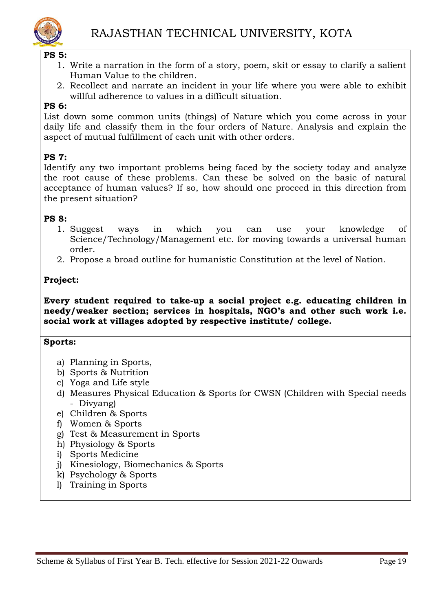

#### **PS 5:**

- 1. Write a narration in the form of a story, poem, skit or essay to clarify a salient Human Value to the children.
- 2. Recollect and narrate an incident in your life where you were able to exhibit willful adherence to values in a difficult situation.

### **PS 6:**

List down some common units (things) of Nature which you come across in your daily life and classify them in the four orders of Nature. Analysis and explain the aspect of mutual fulfillment of each unit with other orders.

## **PS 7:**

Identify any two important problems being faced by the society today and analyze the root cause of these problems. Can these be solved on the basic of natural acceptance of human values? If so, how should one proceed in this direction from the present situation?

#### **PS 8:**

- 1. Suggest ways in which you can use your knowledge of Science/Technology/Management etc. for moving towards a universal human order.
- 2. Propose a broad outline for humanistic Constitution at the level of Nation.

## **Project:**

**Every student required to take-up a social project e.g. educating children in needy/weaker section; services in hospitals, NGO's and other such work i.e. social work at villages adopted by respective institute/ college.**

#### **Sports:**

- a) Planning in Sports,
- b) Sports & Nutrition
- c) Yoga and Life style
- d) Measures Physical Education & Sports for CWSN (Children with Special needs - Divyang)
- e) Children & Sports
- f) Women & Sports
- g) Test & Measurement in Sports
- h) Physiology & Sports
- i) Sports Medicine
- j) Kinesiology, Biomechanics & Sports
- k) Psychology & Sports
- l) Training in Sports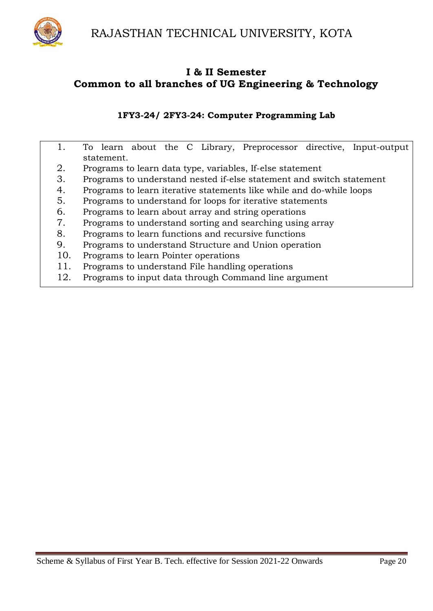

#### **1FY3-24/ 2FY3-24: Computer Programming Lab**

|     | To learn about the C Library, Preprocessor directive, Input-output   |
|-----|----------------------------------------------------------------------|
|     | statement.                                                           |
| 2.  | Programs to learn data type, variables, If-else statement            |
| 3.  | Programs to understand nested if-else statement and switch statement |
| 4.  | Programs to learn iterative statements like while and do-while loops |
| 5.  | Programs to understand for loops for iterative statements            |
| 6.  | Programs to learn about array and string operations                  |
| 7.  | Programs to understand sorting and searching using array             |
| 8.  | Programs to learn functions and recursive functions                  |
| 9.  | Programs to understand Structure and Union operation                 |
| 10. | Programs to learn Pointer operations                                 |
| 11. | Programs to understand File handling operations                      |
| 12. | Programs to input data through Command line argument                 |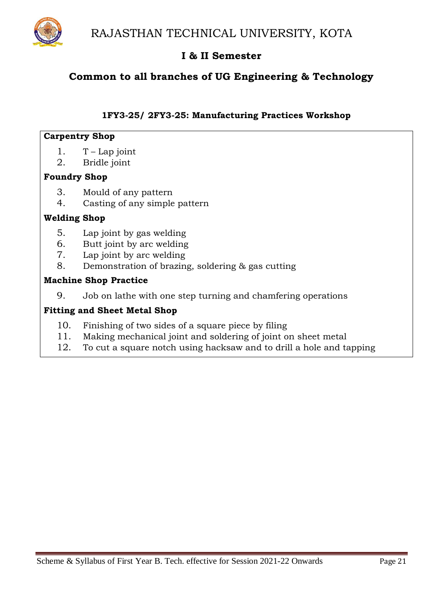

## **Common to all branches of UG Engineering & Technology**

### **1FY3-25/ 2FY3-25: Manufacturing Practices Workshop**

#### **Carpentry Shop**

- 1.  $T Lap$  joint
- 2. Bridle joint

## **Foundry Shop**

- 3. Mould of any pattern
- 4. Casting of any simple pattern

### **Welding Shop**

- 5. Lap joint by gas welding
- 6. Butt joint by arc welding
- 7. Lap joint by arc welding
- 8. Demonstration of brazing, soldering & gas cutting

#### **Machine Shop Practice**

9. Job on lathe with one step turning and chamfering operations

### **Fitting and Sheet Metal Shop**

- 10. Finishing of two sides of a square piece by filing
- 11. Making mechanical joint and soldering of joint on sheet metal
- 12. To cut a square notch using hacksaw and to drill a hole and tapping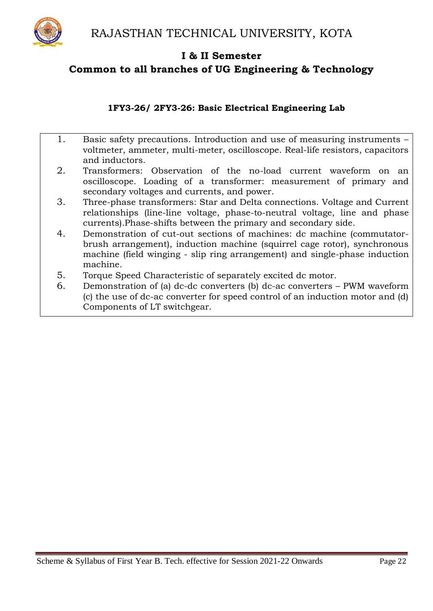

### **1FY3-26/ 2FY3-26: Basic Electrical Engineering Lab**

|    | Basic safety precautions. Introduction and use of measuring instruments –<br>voltmeter, ammeter, multi-meter, oscilloscope. Real-life resistors, capacitors<br>and inductors.                                                                |
|----|----------------------------------------------------------------------------------------------------------------------------------------------------------------------------------------------------------------------------------------------|
| 2. | Transformers: Observation of the no-load current waveform on<br>an<br>oscilloscope. Loading of a transformer: measurement of primary and<br>secondary voltages and currents, and power.                                                      |
| 3. | Three-phase transformers: Star and Delta connections. Voltage and Current<br>relationships (line-line voltage, phase-to-neutral voltage, line and phase<br>currents). Phase-shifts between the primary and secondary side.                   |
| 4. | Demonstration of cut-out sections of machines: dc machine (commutator-<br>brush arrangement), induction machine (squirrel cage rotor), synchronous<br>machine (field winging - slip ring arrangement) and single-phase induction<br>machine. |
| 5. | Torque Speed Characteristic of separately excited dc motor.                                                                                                                                                                                  |
| 6. | Demonstration of (a) dc-dc converters (b) dc-ac converters - PWM waveform<br>(c) the use of dc-ac converter for speed control of an induction motor and (d)<br>Components of LT switchgear.                                                  |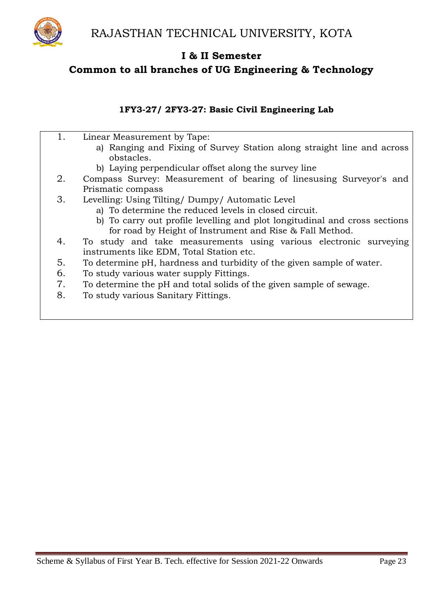

## **1FY3-27/ 2FY3-27: Basic Civil Engineering Lab**

| 1. | Linear Measurement by Tape:                                                |
|----|----------------------------------------------------------------------------|
|    | a) Ranging and Fixing of Survey Station along straight line and across     |
|    | obstacles.                                                                 |
|    | b) Laying perpendicular offset along the survey line                       |
| 2. | Compass Survey: Measurement of bearing of linesusing Surveyor's and        |
|    | Prismatic compass                                                          |
| 3. | Levelling: Using Tilting/Dumpy/Automatic Level                             |
|    | a) To determine the reduced levels in closed circuit.                      |
|    | b) To carry out profile levelling and plot longitudinal and cross sections |
|    | for road by Height of Instrument and Rise & Fall Method.                   |
| 4. | To study and take measurements using various electronic surveying          |
|    | instruments like EDM, Total Station etc.                                   |
| 5. | To determine pH, hardness and turbidity of the given sample of water.      |
| 6. | To study various water supply Fittings.                                    |
| 7. | To determine the pH and total solids of the given sample of sewage.        |
| 8. | To study various Sanitary Fittings.                                        |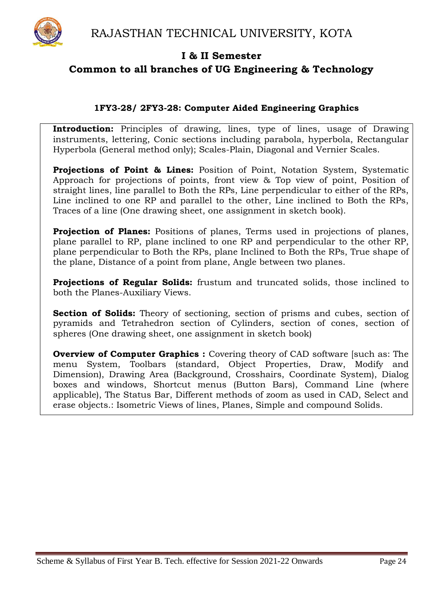

### **1FY3-28/ 2FY3-28: Computer Aided Engineering Graphics**

**Introduction:** Principles of drawing, lines, type of lines, usage of Drawing instruments, lettering, Conic sections including parabola, hyperbola, Rectangular Hyperbola (General method only); Scales-Plain, Diagonal and Vernier Scales.

**Projections of Point & Lines:** Position of Point, Notation System, Systematic Approach for projections of points, front view & Top view of point, Position of straight lines, line parallel to Both the RPs, Line perpendicular to either of the RPs, Line inclined to one RP and parallel to the other, Line inclined to Both the RPs, Traces of a line (One drawing sheet, one assignment in sketch book).

**Projection of Planes:** Positions of planes, Terms used in projections of planes, plane parallel to RP, plane inclined to one RP and perpendicular to the other RP, plane perpendicular to Both the RPs, plane Inclined to Both the RPs, True shape of the plane, Distance of a point from plane, Angle between two planes.

**Projections of Regular Solids:** frustum and truncated solids, those inclined to both the Planes-Auxiliary Views.

**Section of Solids:** Theory of sectioning, section of prisms and cubes, section of pyramids and Tetrahedron section of Cylinders, section of cones, section of spheres (One drawing sheet, one assignment in sketch book)

**Overview of Computer Graphics :** Covering theory of CAD software [such as: The menu System, Toolbars (standard, Object Properties, Draw, Modify and Dimension), Drawing Area (Background, Crosshairs, Coordinate System), Dialog boxes and windows, Shortcut menus (Button Bars), Command Line (where applicable), The Status Bar, Different methods of zoom as used in CAD, Select and erase objects.: Isometric Views of lines, Planes, Simple and compound Solids.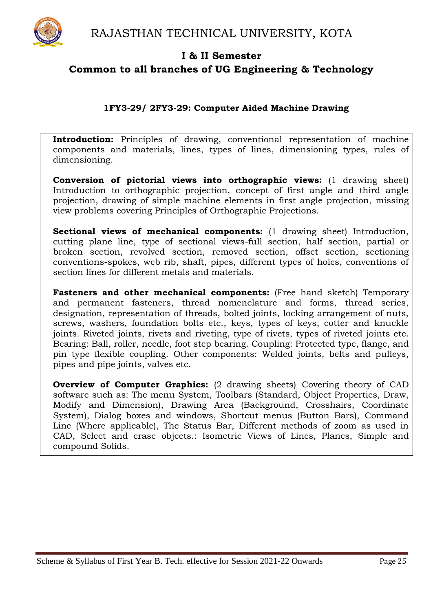

## **1FY3-29/ 2FY3-29: Computer Aided Machine Drawing**

**Introduction:** Principles of drawing, conventional representation of machine components and materials, lines, types of lines, dimensioning types, rules of dimensioning.

**Conversion of pictorial views into orthographic views:** (1 drawing sheet) Introduction to orthographic projection, concept of first angle and third angle projection, drawing of simple machine elements in first angle projection, missing view problems covering Principles of Orthographic Projections.

**Sectional views of mechanical components:** (1 drawing sheet) Introduction, cutting plane line, type of sectional views-full section, half section, partial or broken section, revolved section, removed section, offset section, sectioning conventions-spokes, web rib, shaft, pipes, different types of holes, conventions of section lines for different metals and materials.

**Fasteners and other mechanical components:** (Free hand sketch) Temporary and permanent fasteners, thread nomenclature and forms, thread series, designation, representation of threads, bolted joints, locking arrangement of nuts, screws, washers, foundation bolts etc., keys, types of keys, cotter and knuckle joints. Riveted joints, rivets and riveting, type of rivets, types of riveted joints etc. Bearing: Ball, roller, needle, foot step bearing. Coupling: Protected type, flange, and pin type flexible coupling. Other components: Welded joints, belts and pulleys, pipes and pipe joints, valves etc.

**Overview of Computer Graphics:** (2 drawing sheets) Covering theory of CAD software such as: The menu System, Toolbars (Standard, Object Properties, Draw, Modify and Dimension), Drawing Area (Background, Crosshairs, Coordinate System), Dialog boxes and windows, Shortcut menus (Button Bars), Command Line (Where applicable), The Status Bar, Different methods of zoom as used in CAD, Select and erase objects.: Isometric Views of Lines, Planes, Simple and compound Solids.